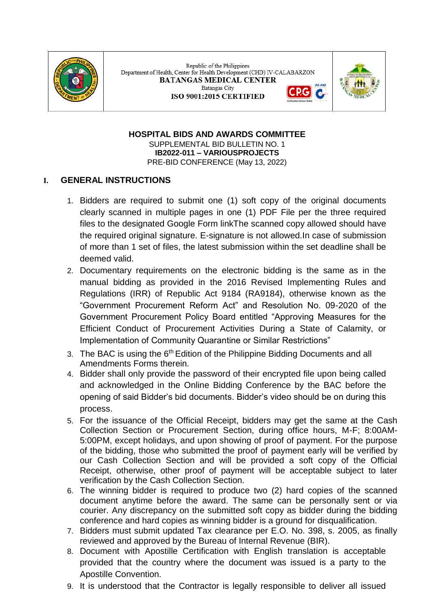

Republic of the Philippines Department of Health, Center for Health Development (CHD) IV-CALABARZON **BATANGAS MEDICAL CENTER** Batangas City ISO 9001:2015 CERTIFIED



**HOSPITAL BIDS AND AWARDS COMMITTEE** SUPPLEMENTAL BID BULLETIN NO. 1 **IB2022-011 – VARIOUSPROJECTS** PRE-BID CONFERENCE (May 13, 2022)

## **I. GENERAL INSTRUCTIONS**

- 1. Bidders are required to submit one (1) soft copy of the original documents clearly scanned in multiple pages in one (1) PDF File per the three required files to the designated Google Form linkThe scanned copy allowed should have the required original signature. E-signature is not allowed.In case of submission of more than 1 set of files, the latest submission within the set deadline shall be deemed valid.
- 2. Documentary requirements on the electronic bidding is the same as in the manual bidding as provided in the 2016 Revised Implementing Rules and Regulations (IRR) of Republic Act 9184 (RA9184), otherwise known as the "Government Procurement Reform Act" and Resolution No. 09-2020 of the Government Procurement Policy Board entitled "Approving Measures for the Efficient Conduct of Procurement Activities During a State of Calamity, or Implementation of Community Quarantine or Similar Restrictions"
- 3. The BAC is using the 6<sup>th</sup> Edition of the Philippine Bidding Documents and all Amendments Forms therein.
- 4. Bidder shall only provide the password of their encrypted file upon being called and acknowledged in the Online Bidding Conference by the BAC before the opening of said Bidder's bid documents. Bidder's video should be on during this process.
- 5. For the issuance of the Official Receipt, bidders may get the same at the Cash Collection Section or Procurement Section, during office hours, M-F; 8:00AM-5:00PM, except holidays, and upon showing of proof of payment. For the purpose of the bidding, those who submitted the proof of payment early will be verified by our Cash Collection Section and will be provided a soft copy of the Official Receipt, otherwise, other proof of payment will be acceptable subject to later verification by the Cash Collection Section.
- 6. The winning bidder is required to produce two (2) hard copies of the scanned document anytime before the award. The same can be personally sent or via courier. Any discrepancy on the submitted soft copy as bidder during the bidding conference and hard copies as winning bidder is a ground for disqualification.
- 7. Bidders must submit updated Tax clearance per E.O. No. 398, s. 2005, as finally reviewed and approved by the Bureau of Internal Revenue (BIR).
- 8. Document with Apostille Certification with English translation is acceptable provided that the country where the document was issued is a party to the Apostille Convention.
- 9. It is understood that the Contractor is legally responsible to deliver all issued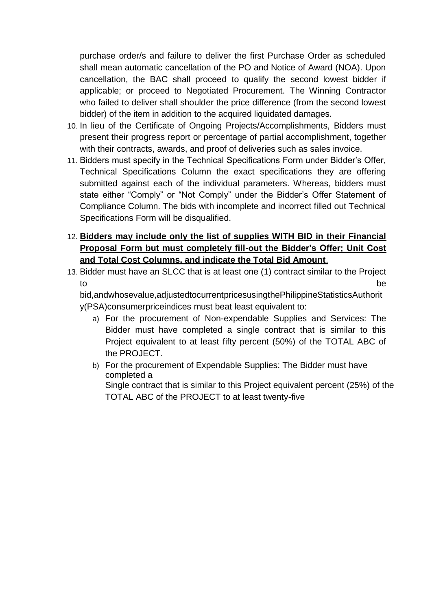purchase order/s and failure to deliver the first Purchase Order as scheduled shall mean automatic cancellation of the PO and Notice of Award (NOA). Upon cancellation, the BAC shall proceed to qualify the second lowest bidder if applicable; or proceed to Negotiated Procurement. The Winning Contractor who failed to deliver shall shoulder the price difference (from the second lowest bidder) of the item in addition to the acquired liquidated damages.

- 10. In lieu of the Certificate of Ongoing Projects/Accomplishments, Bidders must present their progress report or percentage of partial accomplishment, together with their contracts, awards, and proof of deliveries such as sales invoice.
- 11. Bidders must specify in the Technical Specifications Form under Bidder's Offer, Technical Specifications Column the exact specifications they are offering submitted against each of the individual parameters. Whereas, bidders must state either "Comply" or "Not Comply" under the Bidder's Offer Statement of Compliance Column. The bids with incomplete and incorrect filled out Technical Specifications Form will be disqualified.
- 12. **Bidders may include only the list of supplies WITH BID in their Financial Proposal Form but must completely fill-out the Bidder's Offer; Unit Cost and Total Cost Columns, and indicate the Total Bid Amount**.
- 13. Bidder must have an SLCC that is at least one (1) contract similar to the Project to be the contract of the contract of the contract of the contract of the contract of the contract of the contract of the contract of the contract of the contract of the contract of the contract of the contract of the cont

bid,andwhosevalue,adjustedtocurrentpricesusingthePhilippineStatisticsAuthorit y(PSA)consumerpriceindices must beat least equivalent to:

- a) For the procurement of Non-expendable Supplies and Services: The Bidder must have completed a single contract that is similar to this Project equivalent to at least fifty percent (50%) of the TOTAL ABC of the PROJECT.
- b) For the procurement of Expendable Supplies: The Bidder must have completed a Single contract that is similar to this Project equivalent percent (25%) of the TOTAL ABC of the PROJECT to at least twenty-five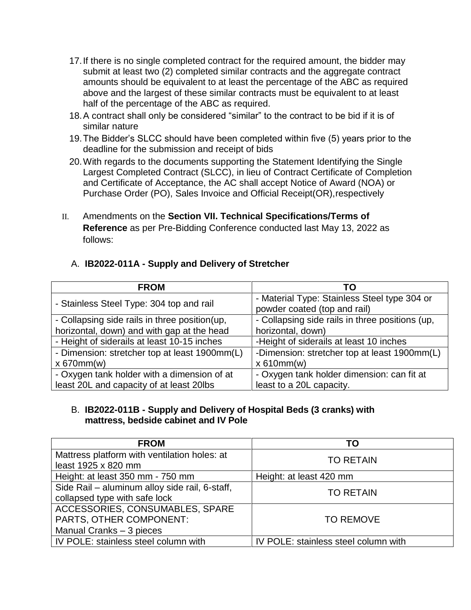- 17.If there is no single completed contract for the required amount, the bidder may submit at least two (2) completed similar contracts and the aggregate contract amounts should be equivalent to at least the percentage of the ABC as required above and the largest of these similar contracts must be equivalent to at least half of the percentage of the ABC as required.
- 18.A contract shall only be considered "similar" to the contract to be bid if it is of similar nature
- 19.The Bidder's SLCC should have been completed within five (5) years prior to the deadline for the submission and receipt of bids
- 20.With regards to the documents supporting the Statement Identifying the Single Largest Completed Contract (SLCC), in lieu of Contract Certificate of Completion and Certificate of Acceptance, the AC shall accept Notice of Award (NOA) or Purchase Order (PO), Sales Invoice and Official Receipt(OR),respectively
- II. Amendments on the **Section VII. Technical Specifications/Terms of Reference** as per Pre-Bidding Conference conducted last May 13, 2022 as follows:

## A. **IB2022-011A - Supply and Delivery of Stretcher**

| <b>FROM</b>                                    | TO                                              |
|------------------------------------------------|-------------------------------------------------|
| - Stainless Steel Type: 304 top and rail       | - Material Type: Stainless Steel type 304 or    |
|                                                | powder coated (top and rail)                    |
| - Collapsing side rails in three position (up, | - Collapsing side rails in three positions (up, |
| horizontal, down) and with gap at the head     | horizontal, down)                               |
| - Height of siderails at least 10-15 inches    | -Height of siderails at least 10 inches         |
| - Dimension: stretcher top at least 1900mm(L)  | -Dimension: stretcher top at least 1900mm(L)    |
| x 670mm(w)                                     | x 610mm(w)                                      |
| - Oxygen tank holder with a dimension of at    | - Oxygen tank holder dimension: can fit at      |
| least 20L and capacity of at least 20lbs       | least to a 20L capacity.                        |

## B. **IB2022-011B - Supply and Delivery of Hospital Beds (3 cranks) with mattress, bedside cabinet and IV Pole**

| <b>FROM</b>                                    | TO                                   |
|------------------------------------------------|--------------------------------------|
| Mattress platform with ventilation holes: at   | <b>TO RETAIN</b>                     |
| least 1925 x 820 mm                            |                                      |
| Height: at least 350 mm - 750 mm               | Height: at least 420 mm              |
| Side Rail - aluminum alloy side rail, 6-staff, | <b>TO RETAIN</b>                     |
| collapsed type with safe lock                  |                                      |
| ACCESSORIES, CONSUMABLES, SPARE                |                                      |
| PARTS, OTHER COMPONENT:                        | <b>TO REMOVE</b>                     |
| Manual Cranks - 3 pieces                       |                                      |
| IV POLE: stainless steel column with           | IV POLE: stainless steel column with |